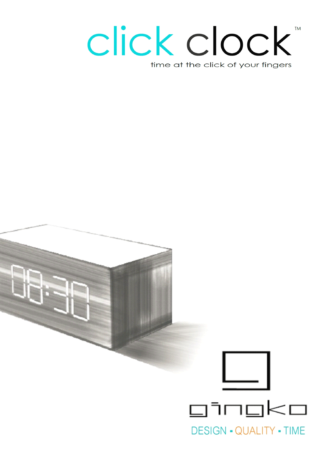## click clock **TM** time at the click of your fingers

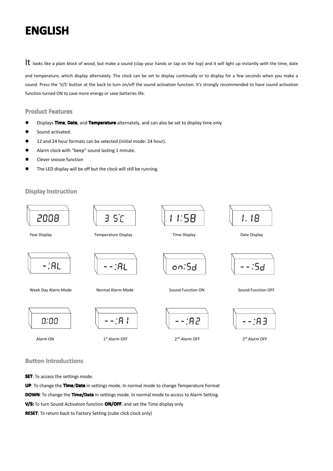## **ENGLISH ENGLISH ENGLISH ENGLISH**

It looks like a plain block of wood, but make a sound (clap your hands or tap on the top) and it will light up instantly with the time, date and temperature, which display alternately. The clock can be set to display continually or to display for <sup>a</sup> few seconds when you make <sup>a</sup> sound. Press the 'V/S' button at the back to turn on/off the sound activation function. It's strongly recommended to have sound activation function turned ON to save more energy or save batteries life.

#### **Product Product Features Features Features**

- �Displays **Time**, **Date**, and **Temperature** alternately, and can also be set to display time only
- �Sound activated.
- �12 and 24 hour formats can be selected (initial mode: 24 hour).
- �Alarm clock with "beep" sound lasting 1 minute.
- �Clever snooze function
- �The LED display will be off but the clock will still be running.

### **Display Instruction**

![](_page_1_Figure_10.jpeg)

**Button Introductions** 

**SET:** To access the settings mode.

**UP**: To change the **Time**/**Date** in settings mode. In normal mode to change Temperature Format **DOWN**: To change the **Time/Date** in settings mode. In normal mode to access to Alarm Setting. **V/S:** To turn Sound Activation function **ON/OFF**, and set the Time display only

**RESET**: To return back to Factory Setting (cube click clock only)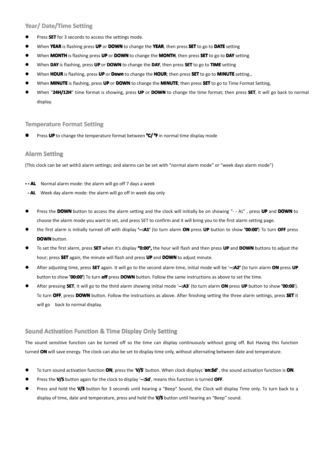## **Year/ Date/Time Date/Time Date/TimeSetting Setting**

- �Press **SET** for 3 seconds to access the settings mode.
- �When **YEAR** is flashing press **UP** or **DOWN** to change the **YEAR**, then press **SET** to go to **DATE** setting
- �When **MONTH** is flashing press **UP** or **DOWN** to change the **MONTH**, then press **SET** to go to **DAY** setting
- �When **DAY** is flashing, press **UP** or **DOWN** to change the **DAY**, then press **SET** to go to **TIME** setting
- �When **HOUR** is flashing, press **UP**or **Down** to change the **HOUR**; then press **SET** to go to **MINUTE** setting.,
- �When **MINUTE** is flashing, press **UP** or **DOWN** to change the **MINUTE**; then press **SET** to go to Time Format Setting,
- � When "**24H/12H** " time format is showing, press **UP** or **DOWN** to change the time format; then press **SET**, it will go back to normal display.

## **Temperature Format Setting**

**�●** Press UP to change the temperature format between <sup>o</sup>C/<sup>o</sup>F in normal time display mode

## **Alarm** Setting

(This clock can be set with3 alarm settings; and alarms can be set with "normal alarm mode" or "week days alarm mode")

- **- - AL** Normal alarm mode: the alarm will go off 7 days <sup>a</sup> week
- **- AL** Week day alarm mode: the alarm will go off in week day only
	- � Press the **DOWN** button to access the alarm setting and the clock will initially be on showing "- - AL" , press **UP** and **DOWN** to choose the alarm mode you want to set, and press SET to confirm and it will bring you to the first alarm setting page.
	- �the first alarm is initially turned off with display '-: A1' (to turn alarm ON press UP button to show '00:00') To turn OFF press **DOWN** button.
	- � To set the first alarm, press **SET** when it's display **"0:00",** the hour will flash and then press **UP** and **DOWN** buttons to adjust the hour; press **SET** again, the minute will flash and press **UP** and **DOWN** to adjust minute.
	- � After adjusting time, press **SET** again. It will go to the second alarmtime, initial mode will be '**--:A2'** (to turn alarm**ON** press **UP** button to show **'00:00' '00:00'**) To turn **off** press **DOWN** button. Follow the same instructions as above to set thetime.
	- � After pressing **SET**, itwill go to the third alarmshowing initial mode '**--:A3**' (to turn alarm**ON** press **UP** button to show **'00:00**'). To turn **OFF**, press **DOWN** button. Follow the instructions as above. After finishing setting the three alarm settings, press **SET** it will go back to normal display.

## **Sound Activation Function & Time Display Only Setting**

The sound sensitive function can be turned off so the time can display continuously without going off. But Having this function turned **ON** will save energy. The clock can also be set to display time only, without alternating between date and temperature.

- �To turn sound activation function **ON**, press the '**V/S**' button. When clock displays '**on:Sd'** , the sound activation function is **ON**.
- �Press the **V/S** button again for the clock to display '**--:Sd**', means this function is turned **OFF**.
- � Press and hold the **V/S** button for 3 seconds until hearing <sup>a</sup> "Beep" Sound, the Clock will display Time only. To turn back to <sup>a</sup> display of time, date and temperature, press and hold the **V/S** button until hearing an "Beep" sound.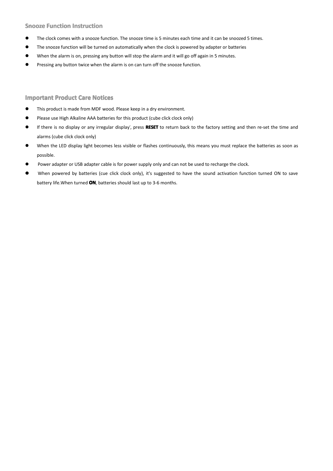## **Snooze Function Instruction**

- �The clock comes with <sup>a</sup> snooze function. The snooze time is 5 minutes each time and it can be snoozed 5 times.
- $\bullet$ The snooze function will be turned on automatically when the clock is powered by adapter or batteries
- �When the alarm is on, pressing any button will stop the alarm and it will go off again in 5 minutes.
- �Pressing any button twice when the alarm is on can turn off the snooze function.

#### **Important Product Care Notices**

- �This product is made from MDF wood. Please keep in <sup>a</sup> dry environment.
- �Please use High Alkaline AAA batteries for this product (cube click clock only)
- � If there is no display or any irregular display', press **RESET** to return back to the factory setting and then re-set the time and alarms (cube click clock only)
- � When the LED display light becomes less visible or flashes continuously, this means you must replace the batteries as soon as possible.
- �Power adapter or USB adapter cable is for power supply only and can not be used to recharge the clock.
- **�** When powered by batteries (cue click clock only), it's suggested to have the sound activation function turned ON to save battery life.When turned **ON**, batteries should last up to 3-6 months.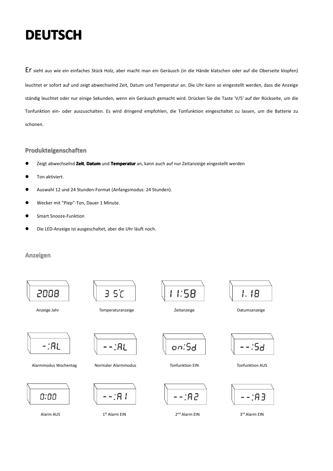## **DEUTSCH DEUTSCH DEUTSCH DEUTSCH**

Er sieht aus wie ein einfaches Stück Holz, aber macht man ein Geräusch (in die Hände klatschen oder auf die Oberseite klopfen) leuchtet er sofort auf und zeigt abwechselnd Zeit, Datum und Temperatur an. Die Uhr kann so eingestellt werden, dass die Anzeige ständig leuchtet oder nur einige Sekunden, wenn ein Geräusch gemacht wird. Drücken Sie die Taste 'V/S' auf der Rückseite, um die Tonfunktion ein- oder auszuschalten. Eswird dringend empfohlen, die Tonfunktion eingeschaltet zu lassen, um die Batterie zu schonen.

#### **Produkteigenschaften**

- �Zeigt abwechselnd **Zeit**, **Datum** und **Temperatur Temperatur**an, kann auch auf nur Zeitanzeige eingestellt werden
- �Ton aktiviert.
- �Auswahl 12 und 24 Stunden-Format (Anfangsmodus: 24 Stunden).
- �Wecker mit "Piep"-Ton, Dauer 1 Minute.
- �Smart Snooze-Funktion
- �Die LED-Anzeige ist ausgeschaltet, aber die Uhr läuft noch.

### **Anzeigen Anzeigen**

![](_page_4_Figure_10.jpeg)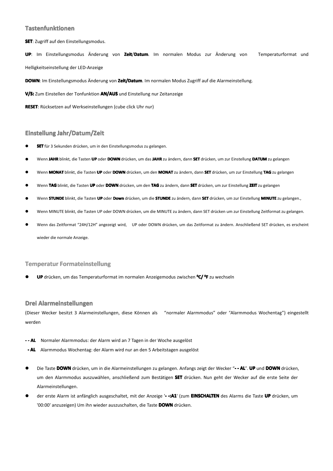#### **Tastenfunktionen**

**SET**: Zugriff auf den Einstellungsmodus.

**UP**: Im Einstellungsmodus Änderung von **Zeit**/**Datum**. Im normalen Modus zur Änderung von Temperaturformat und Helligkeitseinstellung der LED-Anzeige

**DOWN**: Im Einstellungsmodus Änderung von **Zeit/Datum** . Im normalen Modus Zugriff auf die Alarmeinstellung.

**V/S:** Zum Einstellen der Tonfunktion **AN/AUS** und Einstellung nur Zeitanzeige

**RESET**: Rücksetzen auf Werkseinstellungen (cube click Uhr nur)

## **Einstellung EinstellungJahr/Datum/Zeit Jahr/Datum/ZeitJahr/Datum/Zeit**

- �**SET** für 3 Sekunden drücken, um in den Einstellungsmodus zu gelangen.
- �Wenn **JAHR** blinkt, die Tasten **UP** oder **DOWN** drücken, um das **JAHR** zu ändern, dann **SET** drücken, um zur Einstellung **DATUM** zu gelangen
- �Wenn **MONAT** blinkt, die Tasten **UP** oder **DOWN** drücken, um den **MONAT** zu ändern, dann **SET** drücken, um zur Einstellung **TAG** zu gelangen
- �Wenn **TAG** blinkt, die Tasten **UP** oder **DOWN** drücken, um den **TAG** zu ändern, dann **SET** drücken, um zur Einstellung **ZEIT** zu gelangen
- �Wenn **STUNDE** blinkt, die Tasten **UP** oder **Down** drücken, um die **STUNDE** zu ändern, dann **SET** drücken, um zur Einstellung **MINUTE** zu gelangen.,
- �Wenn MINUTE blinkt, die Tasten UP oder DOWN drücken, um die MINUTE zu ändern, dann SET drücken um zur Einstellung Zeitformat zu gelangen.
- � Wenn das Zeitformat "24H/12H" angezeigt wird, UP oder DOWN drücken, um das Zeitformat zu ändern. Anschließend SET drücken, es erscheint wieder die normale Anzeige.

#### **Temperatur Formateinstellung**

�**UP** drücken, um das Temperaturformat im normalen Anzeigemodus zwischen **<sup>0</sup>C/ <sup>0</sup>F** zu wechseln

### **Drei Alarmeinstellungen Alarmeinstellungen**

(Dieser Wecker besitzt 3 Alarmeinstellungen, diese Können als "normaler Alarmmodus" oder "Alarmmodus Wochentag") eingestellt werden

- **- - AL** Normaler Alarmmodus: der Alarm wird an 7 Tagen in der Woche ausgelöst
- **- AL** Alarmmodus Wochentag: der Alarm wird nur an den 5 Arbeitstagen ausgelöst
	- � Die Taste **DOWN** drücken, um indie Alarmeinstellungen zu gelangen. Anfangs zeigt der Wecker "**- - AL**". **UP** und **DOWN** drücken, um den Alarmmodus auszuwählen, anschließend zum Bestätigen **SET** drücken. Nun geht der Wecker auf die erste Seite der Alarmeinstellungen.
	- � der erste Alarm ist anfänglich ausgeschaltet, mit der Anzeige '**- -:A1**' (zum**EINSCHALTEN EINSCHALTEN**des Alarms die Taste **UP** drücken, um '00:00' anzuzeigen) Um ihn wieder auszuschalten, die Taste **DOWN** drücken.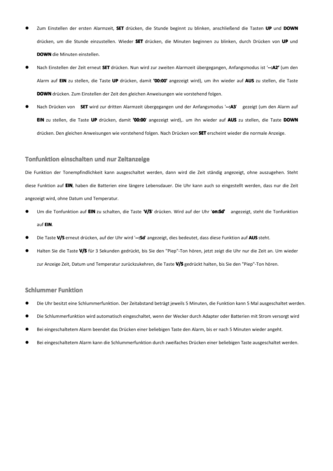- � Zum Einstellen der ersten Alarmzeit, **SET** drücken, die Stunde beginnt zu blinken, anschließend die Tasten **UP** und **DOWN** drücken, um die Stunde einzustellen. Wieder **SET** drücken, die Minuten beginnen zu blinken, durch Drücken von **UP** und **DOWN** die Minuten einstellen.
- � Nach Einstellen der Zeit erneut **SET** drücken. Nun wird zur zweiten Alarmzeit übergegangen, Anfangsmodus ist '**--:A2'** (um den Alarm auf **EIN** zu stellen, die Taste **UP** drücken, damit **'00:00' '00:00'**angezeigt wird), um ihn wieder auf **AUS** zu stellen, die Taste **DOWN** drücken. Zum Einstellen der Zeit dengleichen Anweisungen wie vorstehend folgen.
- � Nach Drücken von **SET** wird zur dritten Alarmzeit übergegangen und der Anfangsmodus '**--:A3**' gezeigt (um den Alarm auf **EIN** zu stellen, die Taste **UP** drücken, damit **'00:00**' angezeigt wird),. um ihn wieder auf **AUS** zu stellen, die Taste **DOWN** drücken. Den gleichen Anweisungen wie vorstehend folgen. Nach Drücken von **SET** erscheint wieder dienormale Anzeige.

#### **Tonfunktion einschalten und nur Zeitanzeige**

Die Funktion der Tonempfindlichkeit kann ausgeschaltet werden, dann wird die Zeit ständig angezeigt, ohne auszugehen. Steht diese Funktion auf **EIN**, haben die Batterien eine längere Lebensdauer. Die Uhr kann auch so eingestellt werden, dass nur die Zeit angezeigt wird, ohne Datum und Temperatur.

- � Um die Tonfunktion auf **EIN** zu schalten, die Taste '**V/S**' drücken. Wird auf der Uhr '**on:Sd'** angezeigt, steht die Tonfunktion auf **EIN**.
- �Die Taste **V/S** erneut drücken, auf der Uhr wird '**--:Sd**' angezeigt, dies bedeutet, dass diese Funktion auf **AUS** steht.
- � Halten Sie die Taste **V/S** für 3 Sekunden gedrückt, bis Sie den "Piep"-Ton hören, jetzt zeigt dieUhr nur die Zeit an. Um wieder zur Anzeige Zeit, Datum und Temperatur zurückzukehren, die Taste **V/S** gedrückt halten, bis Sie den "Piep"-Ton hören.

#### **Schlummer Funktion**

- �Die Uhr besitzt eine Schlummerfunktion. Der Zeitabstand beträgt jeweils 5 Minuten, die Funktion kann 5 Mal ausgeschaltet werden.
- �Die Schlummerfunktion wird automatisch eingeschaltet, wenn der Wecker durch Adapter oder Batterien mit Strom versorgt wird
- �Bei eingeschaltetem Alarm beendet das Drücken einer beliebigen Taste den Alarm, bis er nach 5 Minuten wieder angeht.
- �Bei eingeschaltetem Alarm kann die Schlummerfunktion durch zweifaches Drücken einer beliebigen Taste ausgeschaltet werden.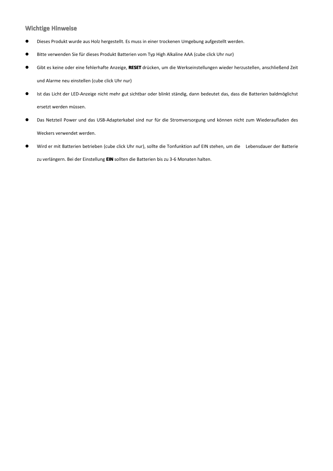## **Wichtige Hinweise**

- �Dieses Produkt wurde aus Holz hergestellt. Es muss in einer trockenen Umgebung aufgestellt werden.
- $\bullet$ Bitte verwenden Sie für dieses Produkt Batterien vom Typ High Alkaline AAA (cube click Uhr nur)
- $\bullet$  Gibt es keine oder eine fehlerhafte Anzeige, **RESET** drücken, um die Werkseinstellungen wieder herzustellen, anschließend Zeit und Alarme neu einstellen (cube click Uhr nur)
- � Ist das Licht der LED-Anzeige nicht mehr gut sichtbar oder blinkt ständig, dann bedeutet das, dass die Batterien baldmöglichst ersetzt werden müssen.
- � Das Netzteil Power und das USB-Adapterkabel sind nur für die Stromversorgung und können nicht zum Wiederaufladen des Weckers verwendet werden.
- � Wird er mit Batterien betrieben (cube click Uhr nur), sollte die Tonfunktion auf EIN stehen, um die Lebensdauer der Batterie zu verlängern. Bei der Einstellung **EIN** sollten die Batterien bis zu 3-6 Monaten halten.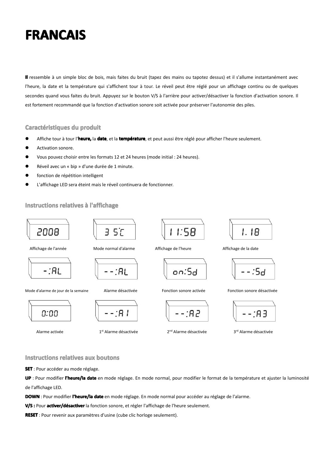## **FRANCAIS FRANCAIS FRANCAIS FRANCAIS**

**Il** ressemble à un simple bloc de bois, mais faites du bruit (tapez des mains ou tapotez dessus) et il <sup>s</sup>'allume instantanément avec l'heure, la date et la température qui <sup>s</sup>'affichent tour à tour. Le réveil peut être réglé pour un affichage continu ou de quelques secondes quand vous faites du bruit. Appuyez sur le bouton V/S à l'arrière pour activer/désactiver la fonction d'activation sonore. Il est fortement recommandé que la fonction d'activation sonore soit activée pour préserver l'autonomie des piles.

#### **Caractéristiques du produit**

- �Affiche tour à tour l'**heure,** la **date**, et la **température**, et peut aussi être réglé pour afficher l'heure seulement.
- �Activation sonore.
- �Vous pouvez choisir entre les formats 12 et 24 heures (mode initial : 24 heures).
- �Réveil avec un « bip » d'une durée de 1 minute.
- �fonction de répétition intelligent
- �L'affichage LED sera éteint mais le réveil continuera de fonctionner.

## **Instructions relatives à l'affichage**

![](_page_8_Figure_10.jpeg)

**Instructions relatives aux boutons** 

**SET** : Pour accéder au mode réglage.

**UP** : Pour modifier **l'heure/la l'heure/ladate** en mode réglage. En mode normal, pour modifier le format de la température et ajuster la luminosité de l'affichage LED.

**DOWN** : Pour modifier **l'heure/la date** en mode réglage. En mode normal pour accéder au réglage de l'alarme.

V/S : Pour activer/désactiver la fonction sonore, et régler l'affichage de l'heure seulement.

**RESET** : Pour revenir aux paramètres d'usine (cube clic horloge seulement).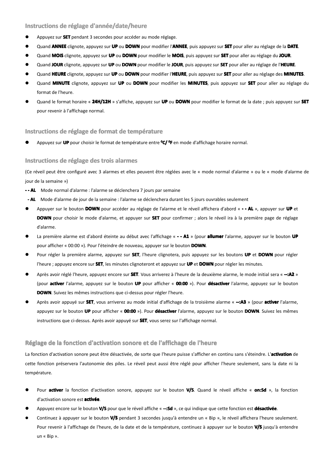### **Instructions de réglage d'année/date/heure**

- �Appuyez sur **SET** pendant 3 secondes pour accéder au mode réglage.
- �Quand **ANNEE** clignote, appuyez sur **UP** ou **DOWN** pour modifier l'**ANNEE**, puis appuyez sur **SET** pour aller au réglage de la **DATE**.
- �Quand **MOIS** clignote, appuyez sur **UP** ou **DOWN** pour modifier le **MOIS**, puis appuyez sur **SET** pour aller au réglage du **JOUR**.
- �Quand **JOUR** clignote, appuyez sur **UP** ou **DOWN** pour modifier le **JOUR**, puis appuyez sur **SET** pour aller au réglage de l'**HEURE**.
- �Quand HEURE clignote, appuyez sur UP ou DOWN pour modifier l'HEURE, puis appuyez sur SET pour aller au réglage des MINUTES.
- �Quand MINUTE clignote, appuyez sur UP ou DOWN pour modifier les MINUTES, puis appuyez sur SET pour aller au réglage du format de l'heure.
- � Quand le format horaire « **24H/12H** » <sup>s</sup>'affiche, appuyez sur **UP** ou **DOWN** pour modifier le format de la date ; puis appuyez sur **SET** pour revenir à l'affichage normal.

#### **Instructions de réglage de format de température**

**�**Appuyez sur **UP** pour choisir le format de température entre **<sup>0</sup>C/ <sup>0</sup><sup>F</sup>** en mode d'affichage horaire normal.

#### **Instructions de réglage des trois alarmes alarmes**

(Ce réveil peut être configuré avec 3alarmes et elles peuvent être réglées avec le « mode normal d'alarme » ou le « mode d'alarme de jour de la semaine »)

- **- - AL** Mode normal d'alarme : l'alarme se déclenchera 7 jours par semaine
- **- AL** Mode d'alarme de jour de la semaine : l'alarme se déclenchera durant les 5 jours ouvrables seulement
	- � Appuyer sur le bouton **DOWN** pour accéder au réglage de l'alarme et le réveil affichera d'abord « **- - AL** », appuyer sur **UP** et **DOWN** pour choisir le mode d'alarme, et appuyer sur **SET** pour confirmer ; alors le réveil ira à la première page de réglage d'alarme.
	- �La première alarme est d'abord éteinte au début avec l'affichage « **- - A1** » (pour **allumer** l'alarme, appuyer sur le bouton UP pour afficher « 00:00 »). Pour l'éteindre de nouveau, appuyer sur le bouton **DOWN**.
	- � Pour régler la première alarme, appuyez sur **SET**, l'heure clignotera, puis appuyez sur les boutons **UP** et **DOWN** pour régler l'heure ; appuyez encore sur **SET**, les minutes clignoteront et appuyez sur **UP** et **DOWN** pour régler les minutes.
	- � Après avoir réglé l'heure, appuyez encore sur **SET**. Vous arriverez à l'heure de la deuxième alarme, le mode initial sera « **--:A2** » (pour **activer** l'alarme, appuyez sur le bouton UP pour afficher « 00:00 »). Pour désactiver l'alarme, appuyez sur le bouton **DOWN**. Suivez les mêmes instructions que ci-dessus pour régler l'heure.
	- � Après avoir appuyé sur **SET**, vous arriverez au mode initial d'affichage de la troisième alarme « **--:A3** » (pour **activer activer**l'alarme, appuyez sur le bouton UP pour afficher « 00:00 »). Pour désactiver l'alarme, appuyez sur le bouton DOWN. Suivez les mêmes instructions que ci-dessus. Après avoir appuyé sur **SET**, vous serez sur l'affichage normal.

#### **Réglage de la fonction fonctionfonctiond'activation d'activationsonore et de l'affichage l'affichagede l'heure l'heure**

La fonction d'activation sonore peut être désactivée, de sorte que l'heure puisse <sup>s</sup>'afficher en continu sans <sup>s</sup>'éteindre. L'**activation activation**de cette fonction préservera l'autonomie des piles. Le réveil peut aussi être réglé pour afficher l'heure seulement, sans la date ni la température.

- �Pour **activer** la fonction d'activation sonore, appuyez sur le bouton V/S. Quand le réveil affiche « on:Sd », la fonction d'activation sonore est **activée**.
- �Appuyez encore sur le bouton **V/S** pour que le réveil affiche « **--:Sd** », ce qui indique que cette fonction est **désactivée**.
- �Continuez à appuyer sur le bouton **V/S** pendant 3 secondes jusqu'à entendre un « Bip », le réveil affichera l'heure seulement. Pour revenir à l'affichage de l'heure, de la date et de la température, continuez àappuyer sur le bouton **V/S** jusqu'à entendre un « Bip ».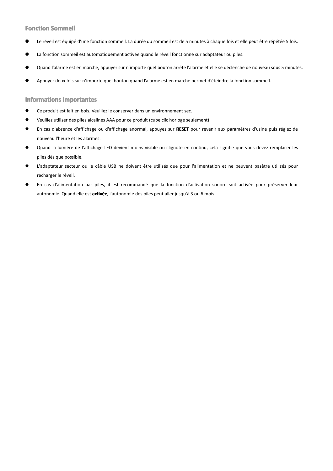## **Fonction Sommeil**

- **�**Le réveil est équipé d'une fonction sommeil. La durée du sommeil est de 5 minutes à chaque fois et elle peut être répétée 5 fois.
- **�**La fonction sommeil est automatiquement activée quand le réveil fonctionne sur adaptateur ou piles.
- **�**Quand l'alarme est en marche, appuyer sur n'importe quel bouton arrête l'alarme et elle se déclenche de nouveau sous 5 minutes.
- **�**Appuyer deux fois sur <sup>n</sup>'importe quel bouton quand l'alarme est en marche permet d'éteindre la fonction sommeil.

## **Informations importantes**

- �Ce produit est fait en bois. Veuillez le conserver dans un environnement sec.
- �Veuillez utiliser des piles alcalines AAA pour ce produit (cube clic horloge seulement)
- � En cas d'absence d'affichage ou d'affichage anormal, appuyez sur **RESET** pour revenir aux paramètres d'usine puis réglez de nouveau l'heure et les alarmes.
- $\bullet$  Quand la lumière de l'affichage LED devient moins visible ou clignote en continu, cela signifie que vous devez remplacer les piles dès que possible.
- $\bullet$  L'adaptateur secteur ou le câble USB ne doivent être utilisés que pour l'alimentation et ne peuvent pasêtre utilisés pour recharger le réveil.
- � En cas d'alimentation par piles, il est recommandé que la fonction d'activation sonore soit activée pour préserver leur autonomie. Quand elle est **activée**, l'autonomie des piles peut aller jusqu'à 3 ou 6 mois.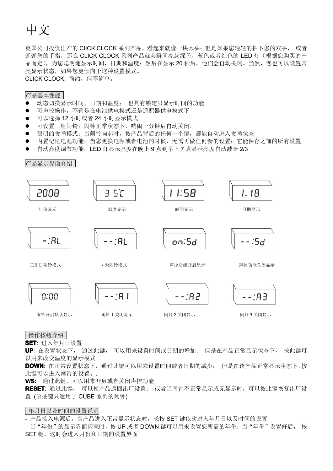# 中文

英国公司投资出产的 CIICK CLOCK 系列产品,看起来就像一块木头;但是如果您轻轻的拍下您的双手, 或者 弹弹您的手指,那么 CLICK CLOCK 系列产品就会瞬间亮起绿色,蓝色或者红色的 LED 灯(根据您购买的产 品而定),为您聪明地显示时间,日期和温度;然后在显示 20 秒后,他们会自动关闭。当然,您也可以设置常 亮显示状态,如果您更倾向于这种设置模式。

CLICK CLOCK, 简约,但不简单。

## 产品基本性能

- $\bullet$ 动态切换显示时间,日期和温度; 也具有锁定只显示时间的功能
- $\bullet$ 可声控操作,不管是在电池供电模式还是适配器供电模式下
- $\bullet$ 可以选择 12 小时或者 24 小时显示模式
- $\bullet$ 可设置三组闹铃;闹钟正常状态下,响闹一分钟后自动关闭.
- $\bullet$ 聪明的贪睡模式: 当闹铃响起时,按产品背后的任何一个键, 都能自动进入贪睡状态
- �内置记忆电池功能;当您更换电源或者电池的时候,无需再做任何新的设置;它能保存之前的所有设置
- �自动亮度调节功能;LED 灯显示亮度在晚上 9 点到早上 7 点显示亮度自动减暗 2/3

![](_page_11_Figure_11.jpeg)

![](_page_11_Figure_12.jpeg)

操作按钮介绍

**SET**: 进入年月日设置

**UP**: 在设置状态下, 通过此键, 可以用来设置时间或日期的增加; 但是在产品正常显示状态下, 按此键可 以用来改变温度的显示模式

**DOWN**: 在正常设置状态下,通过此键可以用来设置时间或者日期的减少; 但是在该产品正常显示状态下,按 此键可以进入闹铃的设置。.

**V/S:** 通过此键,可以用来开启或者关闭声控功能

**RESET**: 通过此键, 可以使产品返回出厂设置; 或者当闹钟不正常显示或无显示时,可以按此键恢复出厂设 置 (该按键只适用于 CUBE 系列的闹钟)

## 年月日以及时间的设置说明

- 产品接入电源后,当产品进入正常显示状态时,长按 SET 键依次进入年月日以及时间的设置

- 当"年份"的显示界面闪亮时,按 UP 或者 DOWN 键可以用来设置您所需的年份; 当"年份"设置好后, 按 SET 键, 这时会讲入月份和日期的设置界面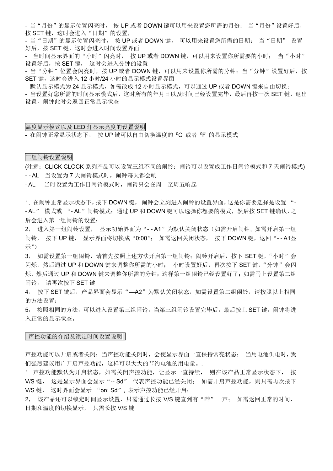- 当"月份"的显示位置闪亮时, 按 UP 或者 DOWN 键可以用来设置您所需的月份; 当"月份"设置好后 按 SET 键, 这时会进入"日期"的设置,

- 当"日期"的显示位置闪亮时, 按 UP 或者 DOWN 键, 可以用来设置您所需的日期; 当"日期" 设置 好后, 按 SET 键, 这时会进入时间设置界面

- 当时间显示界面的"小时"闪亮时, 按 UP 或者 DOWN 键,可以用来设置你所需要的小时; 当"小时" 设置好后,按 SET 键, 这时会进入分钟的设置

- 当"分钟"位置会闪亮时,按 UP 或者 DOWN 键,可以用来设置你所需的分钟;当"分钟"设置好后,按 SET 键, 这时会进入 12 小时/24 小时的显示模式设置界面

- 默认显示模式为 24 显示模式,如需改成 12 小时显示模式,可以通过 UP 或者 DOWN 键来自由切换;

- 当设置好您所需的时间显示模式后,这时所有的年月日以及时间已经设置完毕,最后再按一次 SET 键, 退出 设置,闹钟此时会返回正常显示状态

温度显示模式以及 LED 灯显示亮度的设置说明

- 在闹钟正常显示状态下, 按 UP 键可以自由切换温度的 °C 或者 °F 的显示模式

三组闹铃设置说明

(注意: CLICK CLOCK 系列产品可以设置三组不同的闹铃;闹铃可以设置成工作日闹铃模式和 7 天闹铃模式) - - AL 当设置为 7 天闹铃模式时, 闹钟每天都会响

- AL 当时设置为工作日闹铃模式时,闹铃只会在周一至周五响起

1, 在闹钟正常显示状态下,按下 DOWN 键, 闹钟会立刻进入闹铃的设置界面,这是你需要选择是设置 "- - AL" 模式或 "- AL"闹铃模式;通过 UP 和 DOWN 键可以选择你想要的模式,然后按 SET 键确认, 之 后会进入第一组闹铃的设置;

> 2, 进入第一组闹铃设置, 显示初始界面为"--A1"为默认关闭状态(如需开启闹钟, 如需开启第一组 闹铃, 按下 UP 键, 显示界面将切换成 "0:00"; 如需返回关闭状态, 按下 DOWN 键, 返回 "--A1显 示")

> 3, 如需设置第一组闹铃,请首先按照上述方法开启第一组闹铃;闹铃开启后,按下 SET 键,"小时"会 闪烁,然后通过 UP 和 DOWN 键来调整你所需的小时; 小时设置好后,再次按下 SET 键, "分钟"会闪 烁,然后通过 UP 和 DOWN 键来调整你所需的分钟;这样第一组闹铃已经设置好了;如需马上设置第二组 闹铃, 请再次按下 SET 键

> 4, 按下 SET 键后, 产品界面会显示"—A2"为默认关闭状态, 如需设置第二组闹铃, 请按照以上相同 的方法设置;

> 5, 按照相同的方法,可以进入设置第三组闹铃,当第三组闹铃设置完毕后,最后按上 SET 键,闹钟将进 入正常的显示状态。

#### 声控功能的介绍及锁定时间设置说明

声控功能可以开启或者关闭;当声控功能关闭时,会使显示界面一直保持常亮状态; 当用电池供电时,我 们强烈建议用户开启声控功能,这样可以大大的节约电池的用电量。.

1. 声控功能默认为开启状态,如需关闭声控功能,让显示一直持续, 则在该产品正常显示状态下, 按 V/S 键, 这是显示界面会显示"-- Sd" 代表声控功能已经关闭: 如需开启声控功能,则只需再次按下 V/S 键, 这时界面会显示 "on: Sd", 表示声控功能已经开启;

2, 该产品还可以锁定时间显示设置, 只需通过长按 V/S 键直到有"哔"一声; 如需返回正常的时间, 日期和温度的切换显示, 只需长按 V/S 键